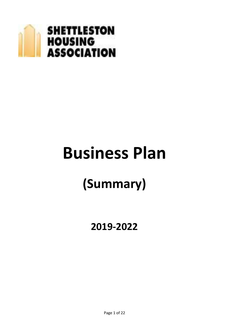

# **Business Plan**

## **(Summary)**

### **2019-2022**

Page 1 of 22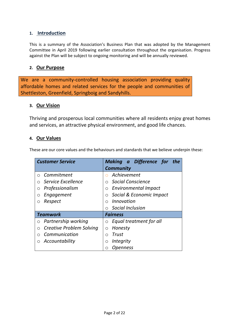#### **1. Introduction**

This is a summary of the Association's Business Plan that was adopted by the Management Committee in April 2019 following earlier consultation throughout the organisation. Progress against the Plan will be subject to ongoing monitoring and will be annually reviewed.

#### **2. Our Purpose**

We are a community-controlled housing association providing quality affordable homes and related services for the people and communities of Shettleston, Greenfield, Springboig and Sandyhills.

#### **3. Our Vision**

Thriving and prosperous local communities where all residents enjoy great homes and services, an attractive physical environment, and good life chances.

#### **4. Our Values**

These are our core values and the behaviours and standards that we believe underpin these:

| <b>Customer Service</b>              | Making a Difference for the            |  |  |  |
|--------------------------------------|----------------------------------------|--|--|--|
|                                      | <b>Community</b>                       |  |  |  |
| Commitment<br>$\bigcap$              | Achievement                            |  |  |  |
| Service Excellence                   | Social Conscience<br>∩                 |  |  |  |
| Professionalism<br>О                 | <b>Environmental Impact</b><br>$\circ$ |  |  |  |
| Engagement<br>Ο                      | $\circ$ Social & Economic Impact       |  |  |  |
| Respect<br>Ο                         | Innovation<br>$\Omega$                 |  |  |  |
|                                      | Social Inclusion<br>$\bigcirc$         |  |  |  |
| <b>Teamwork</b>                      | <b>Fairness</b>                        |  |  |  |
| Partnership working<br>O             | Equal treatment for all<br>$\circ$     |  |  |  |
| <b>Creative Problem Solving</b><br>О | Honesty<br>Ο                           |  |  |  |
| Communication                        | Trust<br>∩                             |  |  |  |
| Accountability                       | <i>Integrity</i><br>O                  |  |  |  |
|                                      | <i><b>Openness</b></i><br>∩            |  |  |  |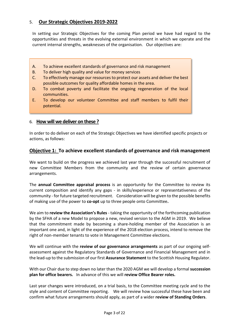#### 5. **Our Strategic Objectives 2019-2022**

In setting our Strategic Objectives for the coming Plan period we have had regard to the opportunities and threats in the evolving external environment in which we operate and the current internal strengths, weaknesses of the organisation. Our objectives are:

- A. To achieve excellent standards of governance and risk management
- B. To deliver high quality and value for money services
- C. To effectively manage our resources to protect our assets and deliver the best possible outcomes for quality affordable homes in the area.
- D. To combat poverty and facilitate the ongoing regeneration of the local communities.
- E. To develop our volunteer Committee and staff members to fulfil their potential.

#### 6. **How will we deliver on these ?**

In order to do deliver on each of the Strategic Objectives we have identified specific projects or actions, as follows:

#### **Objective 1: To achieve excellent standards of governance and risk management**

We want to build on the progress we achieved last year through the successful recruitment of new Committee Members from the community and the review of certain governance arrangements.

The **annual Committee appraisal process** is an opportunity for the Committee to review its current composition and identify any gaps - in skills/experience or representativeness of the community - for future targeted recruitment. Consideration will be given to the possible benefits of making use of the power to **co-opt** up to three people onto Committee**.** 

We aim to **review the Association's Rules** - taking the opportunity of the forthcoming publication by the SFHA of a new Model to propose a new, revised version to the AGM in 2019.We believe that the commitment made by becoming a share-holding member of the Association is an important one and, in light of the experience of the 2018 election process, intend to remove the right of non-member tenants to vote in Management Committee elections.

We will continue with the **review of our governance arrangements** as part of our ongoing selfassessment against the Regulatory Standards of Governance and Financial Management and in the lead-up to the submission of our first **Assurance Statement** to the Scottish Housing Regulator.

With our Chair due to step down no later than the 2020 AGM we will develop a formal **succession plan for office bearers.** In advance of this we will **review Office Bearer roles.**

Last year changes were introduced, on a trial basis, to the Committee meeting cycle and to the style and content of Committee reporting. We will review how successful these have been and confirm what future arrangements should apply, as part of a wider **review of Standing Orders**.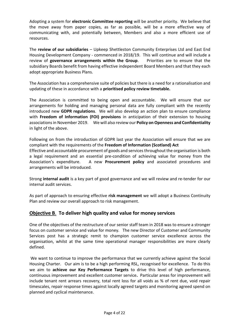Adopting a system for **electronic Committee reporting** will be another priority. We believe that the move away from paper copies, as far as possible, will be a more effective way of communicating with, and potentially between, Members and also a more efficient use of resources.

The **review of our subsidiaries** – Upkeep Shettleston Community Enterprises Ltd and East End Housing Development Company - commenced in 2018/19. This will continue and will include a review of **governance arrangements within the Group**. Priorities are to ensure that the subsidiary Boards benefit from having effective independent Board Members and that they each adopt appropriate Business Plans.

The Association has a comprehensive suite of policies but there is a need for a rationalisation and updating of these in accordance with a **prioritised policy review timetable.**

The Association is committed to being open and accountable. We will ensure that our arrangements for holding and managing personal data are fully compliant with the recently introduced new **GDPR regulations**. We will also develop an action plan to ensure compliance with **Freedom of Information (FOI) provisions** in anticipation of their extension to housing associations in November 2019. We will also review our **Policy on Openness and Confidentiality** in light of the above.

Following on from the introduction of GDPR last year the Association will ensure that we are compliant with the requirements of the **Freedom of Information (Scotland) Act** Effective and accountable procurement of goods and services throughout the organisation is both

a legal requirement and an essential pre-condition of achieving value for money from the Association's expenditure. A new **Procurement policy** and associated procedures and arrangements will be introduced.

Strong **internal audit** is a key part of good governance and we will review and re-tender for our internal audit services.

As part of approach to ensuring effective **risk management** we will adopt a Business Continuity Plan and review our overall approach to risk management.

#### **Objective B**. **To deliver high quality and value for money services**

One of the objectives of the restructure of our senior staff team in 2018 was to ensure a stronger focus on customer service and value for money. The new Director of Customer and Community Services post has a strategic remit to champion customer service excellence across the organisation, whilst at the same time operational manager responsibilities are more clearly defined.

We want to continue to improve the performance that we currently achieve against the Social Housing Charter. Our aim is to be a high performing RSL, recognised for excellence. To do this we aim to **achieve our Key Performance Targets** to drive this level of high performance, continuous improvement and excellent customer service**.** Particular areas for improvement will include tenant rent arrears recovery, total rent loss for all voids as % of rent due, void repair timescales, repair response times against locally agreed targets and monitoring agreed spend on planned and cyclical maintenance.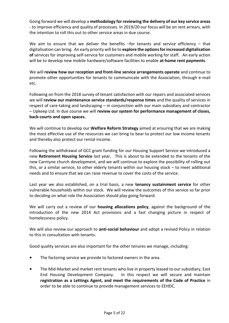Going forward we will develop a **methodology for reviewing the delivery of our key service areas**  - to improve efficiency and quality of processes. In 2019/20 our focus will be on rent arrears, with the intention to roll this out to other service areas in due course.

We aim to ensure that we deliver the benefits -for tenants and service efficiency - that digitalisation can bring. An early priority will be to **explore the options for increased digitalisation of** services for improving self-service for customers and mobile working for staff. An early action will be to develop new mobile hardware/software facilities to enable **at-home rent payments**.

We will **review how our reception and front-line service arrangements operate** and continue to promote other opportunities for tenants to communicate with the Association, through e-mail etc.

Following on from the 2018 survey of tenant satisfaction with our repairs and associated services we will **review our maintenance service standards/response times** and the quality of services in respect of care-taking and landscaping – in conjunction with our main subsidiary and contractor – Upkeep Ltd. In due course we will **review our system for performance management of closes, back-courts and open spaces.**

We will continue to develop our **Welfare Reform Strategy** aimed at ensuring that we are making the most effective use of the resources we can bring to bear to protect our low income tenants and thereby also protect our rental income.

Following the withdrawal of GCC grant funding for our Housing Support Service we introduced a new **Retirement Housing Service** last year**.** This is about to be extended to the tenants of the new Carntyne church development, and we will continue to explore the possibility of rolling out this, or a similar service, to other elderly tenants within our housing stock – to meet additional needs and to ensure that we can raise revenue to cover the costs of the service.

Last year we also established, on a trial basis, a new **tenancy sustainment service** for other vulnerable households within our stock. We will review the outcomes of this service so far prior to deciding on what role the Association should play going forward.

We will carry out a review of our **housing allocations policy**, against the background of the introduction of the new 2014 Act provisions and a fast changing picture in respect of homelessness policy.

We will also review our approach to **anti-social behaviour** and adopt a revised Policy in relation to this in consultation with tenants.

Good quality services are also important for the other tenures we manage, including:

- The factoring service we provide to factored owners in the area.
- The Mid-Market and market rent tenants who live in property leased to our subsidiary, East End Housing Development Company. In this respect we will secure and maintain **registration as a Lettings Agent, and meet the requirements of the Code of Practice** in order to be able to continue to provide management services to EEHDC.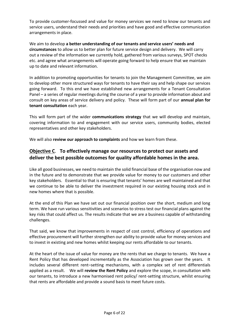To provide customer-focussed and value for money services we need to know our tenants and service users, understand their needs and priorities and have good and effective communication arrangements in place.

We aim to develop **a better understanding of our tenants and service users' needs and circumstances** to allow us to better plan for future service design and delivery. We will carry out a review of the information we currently hold, gathered from various surveys, SPOT checks etc. and agree what arrangements will operate going forward to help ensure that we maintain up to date and relevant information.

In addition to promoting opportunities for tenants to join the Management Committee, we aim to develop other more structured ways for tenants to have their say and help shape our services going forward. To this end we have established new arrangements for a Tenant Consultation Panel – a series of regular meetings during the course of a year to provide information about and consult on key areas of service delivery and policy. These will form part of our **annual plan for tenant consultation** each year.

This will form part of the wider **communications strategy** that we will develop and maintain, covering information to and engagement with our service users, community bodies, elected representatives and other key stakeholders.

We will also **review our approach to complaints** and how we learn from these.

#### **Objective C**. **To effectively manage our resources to protect our assets and deliver the best possible outcomes for quality affordable homes in the area.**

Like all good businesses, we need to maintain the solid financial base of the organisation now and in the future and to demonstrate that we provide value for money to our customers and other key stakeholders. Essential to that is ensuring that tenants' homes are well maintained and that we continue to be able to deliver the investment required in our existing housing stock and in new homes where that is possible.

At the end of this Plan we have set out our financial position over the short, medium and long term. We have run various sensitivities and scenarios to stress test our financial plans against the key risks that could affect us. The results indicate that we are a business capable of withstanding challenges.

That said, we know that improvements in respect of cost control, efficiency of operations and effective procurement will further strengthen our ability to provide value for money services and to invest in existing and new homes whilst keeping our rents affordable to our tenants.

At the heart of the issue of value for money are the rents that we charge to tenants. We have a Rent Policy that has developed incrementally as the Association has grown over the years. It includes several different rent–setting mechanisms, with a complex set of rent differentials applied as a result. We will **review the Rent Policy** and explore the scope, in consultation with our tenants, to introduce a new harmonised rent policy/ rent-setting structure, whilst ensuring that rents are affordable and provide a sound basis to meet future costs.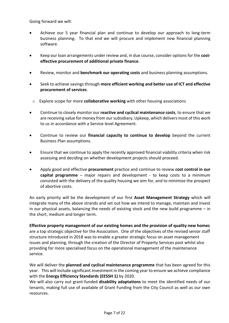Going forward we will:

- Achieve our 5 year financial plan and continue to develop our approach to long-term business planning. To that end we will procure and implement new financial planning software.
- Keep our loan arrangements under review and, in due course, consider options for the **costeffective procurement of additional private finance**.
- Review, monitor and **benchmark our operating costs** and business planning assumptions.
- Seek to achieve savings through **more efficient working and better use of ICT and effective procurement of services**.
	- o Explore scope for more **collaborative working** with other housing associations
- Continue to closely monitor our **reactive and cyclical maintenance costs**, to ensure that we are receiving value for money from our subsidiary, Upkeep, which delivers most of this work to us in accordance with a Service level Agreement.
- Continue to review our **financial capacity to continue to develop** beyond the current Business Plan assumptions.
- Ensure that we continue to apply the recently approved financial viability criteria when risk assessing and deciding on whether development projects should proceed.
- Apply good and effective **procurement** practice and continue to review **cost control in our capital programme** – major repairs and development - to keep costs to a minimum consisted with the delivery of the quality housing we aim for, and to minimise the prospect of abortive costs.

An early priority will be the development of our first **Asset Management Strategy** which will integrate many of the above strands and set out how we intend to manage, maintain and invest in our physical assets, balancing the needs of existing stock and the new build programme – in the short, medium and longer term.

**Effective property management of our existing homes and the provision of quality new homes** are a top strategic objective for the Association. One of the objectives of the revised senior staff structure introduced in 2018 was to enable a greater strategic focus on asset management issues and planning, through the creation of the Director of Property Services post whilst also providing for more specialised focus on the operational management of the maintenance service.

We will deliver the **planned and cyclical maintenance programme** that has been agreed for this year. This will include significant investment in the coming year to ensure we achieve compliance with the **Energy Efficiency Standards (EESSH 1)** by 2020.

We will also carry out grant-funded **disability adaptations** to meet the identified needs of our tenants, making full use of available of Grant Funding from the City Council as well as our own resources.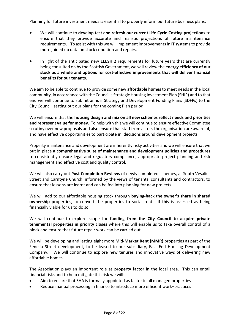Planning for future investment needs is essential to properly inform our future business plans:

- We will continue to **develop test and refresh our current Life Cycle Costing projections** to ensure that they provide accurate and realistic projections of future maintenance requirements. To assist with this we will implement improvements in IT systems to provide more joined up data on stock condition and repairs.
- In light of the anticipated new **EEESH 2** requirements for future years that are currently being consulted on by the Scottish Government, we will review the **energy efficiency of our stock as a whole and options for cost-effective improvements that will deliver financial benefits for our tenants.**

We aim to be able to continue to provide some new **affordable homes** to meet needs in the local community, in accordance with the Council's Strategic Housing Investment Plan (SHIP) and to that end we will continue to submit annual Strategy and Development Funding Plans (SDFPs) to the City Council, setting out our plans for the coming Plan period.

We will ensure that the **housing design and mix on all new schemes reflect needs and priorities and represent value for money**. To help with this we will continue to ensure effective Committee scrutiny over new proposals and also ensure that staff from across the organisation are aware of, and have effective opportunities to participate in, decisions around development projects.

Property maintenance and development are inherently risky activities and we will ensure that we put in place **a comprehensive suite of maintenance and development policies and procedures** to consistently ensure legal and regulatory compliance, appropriate project planning and risk management and effective cost and quality control.

We will also carry out **Post Completion Reviews** of newly completed schemes, at South Vesalius Street and Carntyne Church, informed by the views of tenants, consultants and contractors, to ensure that lessons are learnt and can be fed into planning for new projects.

We will add to our affordable housing stock through **buying-back the owner's share in shared ownership** properties, to convert the properties to social rent - if this is assessed as being financially viable for us to do so.

We will continue to explore scope for **funding from the City Council to acquire private tenemental properties in priority closes** where this will enable us to take overall control of a block and ensure that future repair work can be carried out.

We will be developing and letting eight more **Mid-Market Rent (MMR)** properties as part of the Fenella Street development, to be leased to our subsidiary, East End Housing Development Company. We will continue to explore new tenures and innovative ways of delivering new affordable homes.

The Association plays an important role as **property factor** in the local area. This can entail financial risks and to help mitigate this risk we will:

- Aim to ensure that SHA is formally appointed as factor in all managed properties
- Reduce manual processing in finance to introduce more efficient work–practices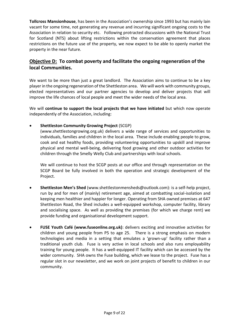**Tollcross Mansionhouse**, has been in the Association's ownership since 1993 but has mainly lain vacant for some time, not generating any revenue and incurring significant ongoing costs to the Association in relation to security etc. Following protracted discussions with the National Trust for Scotland (NTS) about lifting restrictions within the conservation agreement that places restrictions on the future use of the property, we now expect to be able to openly market the property in the near future.

#### **Objective D: To combat poverty and facilitate the ongoing regeneration of the local Communities.**

We want to be more than just a great landlord. The Association aims to continue to be a key player in the ongoing regeneration of the Shettleston area. We will work with community groups, elected representatives and our partner agencies to develop and deliver projects that will improve the life chances of local people and meet the wider needs of the local area.

We will **continue to support the local projects that we have initiated** but which now operate independently of the Association, including:

**Shettleston Community Growing Project** (SCGP)

(www.shettlestongrowing.org.uk) delivers a wide range of services and opportunities to individuals, families and children in the local area. These include enabling people to grow, cook and eat healthy foods, providing volunteering opportunities to upskill and improve physical and mental well-being, delivering food growing and other outdoor activities for children through the Smelly Welly Club and partnerships with local schools.

We will continue to host the SCGP posts at our office and through representation on the SCGP Board be fully involved in both the operation and strategic development of the Project.

- **Shettleston Men's Shed** (www.shettlestonmensheds@outlook.com): is a self-help project, run by and for men of (mainly) retirement age, aimed at combatting social-isolation and keeping men healthier and happier for longer. Operating from SHA owned premises at 647 Shettleston Road, the Shed includes a well-equipped workshop, computer facility, library and socialising space. As well as providing the premises (for which we charge rent) we provide funding and organisational development support.
- **FUSE Youth Café (www.fuseonline.org.uk)**: delivers exciting and innovative activities for children and young people from P5 to age 25. There is a strong emphasis on modern technologies and media in a setting that emulates a 'grown-up' facility rather than a traditional youth club. Fuse is very active in local schools and also runs employability training for young people. It has a well-equipped IT facility which can be accessed by the wider community. SHA owns the Fuse building, which we lease to the project. Fuse has a regular slot in our newsletter, and we work on joint projects of benefit to children in our community.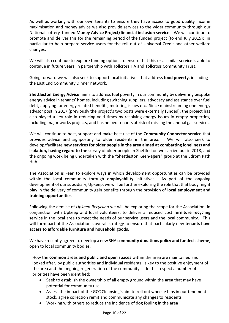As well as working with our own tenants to ensure they have access to good quality income maximisation and money advice we also provide services to the wider community through our National Lottery funded **Money Advice Project/financial inclusion service**. We will continue to promote and deliver this for the remaining period of the funded project (to end July 2019): in particular to help prepare service users for the roll out of Universal Credit and other welfare changes**.** 

We will also continue to explore funding options to ensure that this or a similar service is able to continue in future years, in partnership with Tollcross HA and Tollcross Community Trust.

Going forward we will also seek to support local initiatives that address **food poverty**, including the East End Community Dinner network.

**Shettleston Energy Advice:** aims to address fuel poverty in our community by delivering bespoke energy advice in tenants' homes, including switching suppliers, advocacy and assistance over fuel debt, applying for energy related benefits, metering issues etc. Since mainstreaming one energy advisor post in 2017 (previously the project's two posts were externally funded), the project has also played a key role in reducing void times by resolving energy issues in empty properties, including major works projects, and has helped tenants at risk of missing the annual gas services.

We will continue to host, support and make best use of the **Community Connector service** that provides advice and signposting to older residents in the area. We will also seek to develop/facilitate **new services for older people in the area aimed at combatting loneliness and isolation, having regard to the** survey of older people in Shettleston we carried out in 2018, and the ongoing work being undertaken with the "Shettleston Keen-agers" group at the Edrom Path Hub.

The Association is keen to explore ways in which development opportunities can be provided within the local community through **employability** initiatives. As part of the ongoing development of our subsidiary, Upkeep, we will be further exploring the role that that body might play in the delivery of community gain benefits through the provision of **local employment and training opportunities**.

Following the demise of *Upkeep Recycling* we will be exploring the scope for the Association, in conjunction with Upkeep and local volunteers, to deliver a reduced cost **furniture recycling service** in the local area to meet the needs of our service users and the local community. This will form part of the Association's overall strategy to ensure that particularly new **tenants have access to affordable furniture and household goods**.

We have recently agreed to develop a new SHA **community donations policy and funded scheme**, open to local community bodies.

How the **common areas and public and open spaces** within the area are maintained and looked after, by public authorities and individual residents, is key to the positive enjoyment of the area and the ongoing regeneration of the community. In this respect a number of priorities have been identified:

- Seek to establish the ownership of all empty ground within the area that may have potential for community use.
- Assess the impact of the GCC Cleansing's aim to roll out wheelie bins in our tenement stock, agree collection remit and communicate any changes to residents
- Working with others to reduce the incidence of dog fouling in the area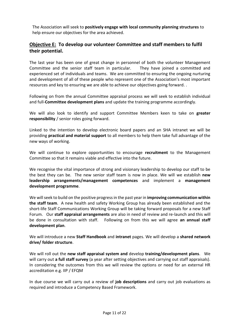The Association will seek to **positively engage with local community planning structures** to help ensure our objectives for the area achieved.

#### **Objective E: To develop our volunteer Committee and staff members to fulfil their potential.**

The last year has been one of great change in personnel of both the volunteer Management Committee and the senior staff team in particular. They have joined a committed and experienced set of individuals and teams. We are committed to ensuring the ongoing nurturing and development of all of these people who represent one of the Association's most important resources and key to ensuring we are able to achieve our objectives going forward. .

Following on from the annual Committee appraisal process we will seek to establish individual and full-**Committee development plans** and update the training programme accordingly.

We will also look to identify and support Committee Members keen to take on **greater responsibility** / senior roles going forward.

Linked to the intention to develop electronic board papers and an SHA intranet we will be providing **practical and material support** to all members to help them take full advantage of the new ways of working.

We will continue to explore opportunities to encourage **recruitment** to the Management Committee so that it remains viable and effective into the future.

We recognise the vital importance of strong and visionary leadership to develop our staff to be the best they can be. The new senior staff team is now in place. We will we establish **new leadership arrangements/management competences** and implement a **management development programme**.

We will seek to build on the positive progress in the past year in **improving communication within the staff team**. A new health and safety Working Group has already been established and the short-life Staff Communications Working Group will be taking forward proposals for a new Staff Forum. Our **staff appraisal arrangements** are also in need of review and re-launch and this will be done in consultation with staff. Following on from this we will agree **an annual staff development plan**.

We will introduce a new **Staff Handbook** and **intranet** pages. We will develop a **shared network drive/ folder structure**.

We will roll out the **new staff appraisal system and** develop **training/development plans**. We will carry out **a full staff survey** (a year after setting objectives and carrying out staff appraisals). In considering the outcomes from this we will review the options or need for an external HR accreditation e.g. IIP / EFQM

In due course we will carry out a review of **job descriptions** and carry out job evaluations as required and introduce a Competency Based Framework.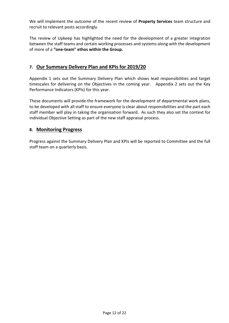We will implement the outcome of the recent review of **Property Services** team structure and recruit to relevant posts accordingly.

The review of Upkeep has highlighted the need for the development of a greater integration between the staff teams and certain working processes and systems along with the development of more of a **"one-team" ethos within the Group.**

#### **7. Our Summary Delivery Plan and KPIs for 2019/20**

Appendix 1 sets out the Summary Delivery Plan which shows lead responsibilities and target timescales for delivering on the Objectives in the coming year. Appendix 2 sets out the Key Performance Indicators (KPIs) for this year.

These documents will provide the framework for the development of departmental work plans, to be developed with all staff to ensure everyone is clear about responsibilities and the part each staff member will play in taking the organisation forward. As such they also set the context for individual Objective Setting as part of the new staff appraisal process.

#### **8. Monitoring Progress**

Progress against the Summary Delivery Plan and KPIs will be reported to Committee and the full staff team on a quarterly basis.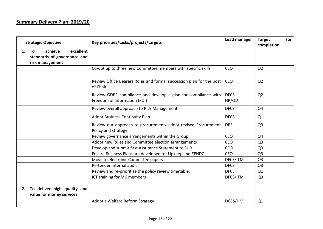#### **Summary Delivery Plan: 2019/20**

| <b>Strategic Objective</b>                                                      | Key priorities/tasks/projects/targets                                                         | Lead manager         | for<br><b>Target</b><br>completion |
|---------------------------------------------------------------------------------|-----------------------------------------------------------------------------------------------|----------------------|------------------------------------|
| achieve<br>excellent<br>1. To<br>standards of governance and<br>risk management |                                                                                               |                      |                                    |
|                                                                                 | Co-opt up to three new Committee members with specific skills                                 | <b>CEO</b>           | Q <sub>2</sub>                     |
|                                                                                 | Review Office Bearers Roles and formal succession plan for the post<br>of Chair               | <b>CEO</b>           | Q <sub>2</sub>                     |
|                                                                                 | Review GDPR compliance and develop a plan for compliance with<br>Freedom of Information (FOI) | <b>DFCS</b><br>HR/OD | Q <sub>2</sub>                     |
|                                                                                 | Review overall approach to Risk Management                                                    | <b>DFCS</b>          | Q4                                 |
|                                                                                 | <b>Adopt Business Continuity Plan</b>                                                         | <b>DFCS</b>          | Q1                                 |
|                                                                                 | Review our approach to procurement/ adopt revised Procurement<br>Policy and strategy          | <b>DPS</b>           | Q <sub>3</sub>                     |
|                                                                                 | Review governance arrangements within the Group                                               | <b>CEO</b>           | Q4                                 |
|                                                                                 | Adopt new Rules and Committee election arrangements                                           | <b>CEO</b>           | Q <sub>3</sub>                     |
|                                                                                 | Develop and submit first Assurance Statement to SHR                                           | <b>CEO</b>           | Q <sub>3</sub>                     |
|                                                                                 | Ensure Business Plans are developed for Upkeep and EEHDC                                      | <b>CEO</b>           | Q <sub>3</sub>                     |
|                                                                                 | Move to electronic Committee papers                                                           | DFCS/ITM             | Q <sub>3</sub>                     |
|                                                                                 | Re-tender internal audit                                                                      | <b>DFCS</b>          | Q <sub>3</sub>                     |
|                                                                                 | Review and re-prioritise the policy review timetable.                                         | <b>DFCS</b>          | Q1                                 |
|                                                                                 | ICT training for MC members                                                                   | DFCS/ITM             | Q <sub>3</sub>                     |
|                                                                                 |                                                                                               |                      |                                    |
| To deliver high quality and<br>2.<br>value for money services                   |                                                                                               |                      |                                    |
|                                                                                 | Adopt a Welfare Reform Strategy                                                               | DCCS/HM              | Q1                                 |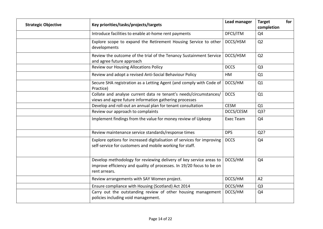| <b>Strategic Objective</b> | Key priorities/tasks/projects/targets                                                                                                                       | <b>Lead manager</b> | <b>Target</b><br>completion | for |
|----------------------------|-------------------------------------------------------------------------------------------------------------------------------------------------------------|---------------------|-----------------------------|-----|
|                            | Introduce facilities to enable at-home rent payments                                                                                                        | DFCS/ITM            | Q <sub>4</sub>              |     |
|                            | Explore scope to expand the Retirement Housing Service to other<br>developments                                                                             | DCCS/HSM            | Q <sub>2</sub>              |     |
|                            | Review the outcome of the trial of the Tenancy Sustainment Service<br>and agree future approach                                                             | DCCS/HSM            | Q2                          |     |
|                            | <b>Review our Housing Allocations Policy</b>                                                                                                                | <b>DCCS</b>         | Q <sub>3</sub>              |     |
|                            | Review and adopt a revised Anti-Social Behaviour Policy                                                                                                     | HM                  | Q1                          |     |
|                            | Secure SHA registration as a Letting Agent (and comply with Code of<br>Practice)                                                                            | DCCS/HM             | Q1                          |     |
|                            | Collate and analyse current data re tenant's needs/circumstances/<br>views and agree future information gathering processes                                 | <b>DCCS</b>         | Q1                          |     |
|                            | Develop and roll-out an annual plan for tenant consultation                                                                                                 | <b>CESM</b>         | Q1                          |     |
|                            | Review our approach to complaints                                                                                                                           | DCCS/CESM           | Q3?                         |     |
|                            | Implement findings from the value for money review of Upkeep                                                                                                | <b>Exec Team</b>    | Q4                          |     |
|                            | Review maintenance service standards/response times                                                                                                         | <b>DPS</b>          | $Q2$ ?                      |     |
|                            | Explore options for increased digitalisation of services for improving<br>self-service for customers and mobile working for staff.                          | <b>DCCS</b>         | Q <sub>4</sub>              |     |
|                            | Develop methodology for reviewing delivery of key service areas to<br>improve efficiency and quality of processes. In 19/20 focus to be on<br>rent arrears. | DCCS/HM             | Q4                          |     |
|                            | Review arrangements with SAY Women project.                                                                                                                 | DCCS/HM             | A2                          |     |
|                            | Ensure compliance with Housing (Scotland) Act 2014                                                                                                          | DCCS/HM             | Q <sub>3</sub>              |     |
|                            | Carry out the outstanding review of other housing management<br>policies including void management.                                                         | DCCS/HM             | Q <sub>4</sub>              |     |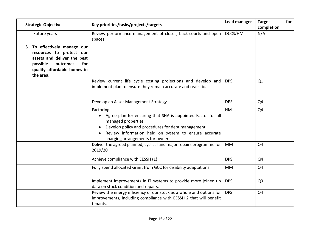| <b>Strategic Objective</b>                                                                                                                                         | Key priorities/tasks/projects/targets                                                                                                                                                                                                             | <b>Lead manager</b> | for<br><b>Target</b><br>completion |
|--------------------------------------------------------------------------------------------------------------------------------------------------------------------|---------------------------------------------------------------------------------------------------------------------------------------------------------------------------------------------------------------------------------------------------|---------------------|------------------------------------|
| Future years                                                                                                                                                       | Review performance management of closes, back-courts and open<br>spaces                                                                                                                                                                           | DCCS/HM             | N/A                                |
| 3. To effectively manage our<br>resources to protect our<br>assets and deliver the best<br>possible<br>outcomes<br>for<br>quality affordable homes in<br>the area. |                                                                                                                                                                                                                                                   |                     |                                    |
|                                                                                                                                                                    | Review current life cycle costing projections and develop and<br>implement plan to ensure they remain accurate and realistic.                                                                                                                     | <b>DPS</b>          | Q1                                 |
|                                                                                                                                                                    | Develop an Asset Management Strategy                                                                                                                                                                                                              | <b>DPS</b>          | Q4                                 |
|                                                                                                                                                                    | Factoring:<br>Agree plan for ensuring that SHA is appointed Factor for all<br>managed properties<br>Develop policy and procedures for debt management<br>Review information held on system to ensure accurate<br>charging arrangements for owners | HM                  | Q4                                 |
|                                                                                                                                                                    | Deliver the agreed planned, cyclical and major repairs programme for<br>2019/20                                                                                                                                                                   | <b>MM</b>           | Q <sub>4</sub>                     |
|                                                                                                                                                                    | Achieve compliance with EESSH (1)                                                                                                                                                                                                                 | <b>DPS</b>          | Q4                                 |
|                                                                                                                                                                    | Fully spend allocated Grant from GCC for disability adaptations                                                                                                                                                                                   | MM                  | Q <sub>4</sub>                     |
|                                                                                                                                                                    | Implement improvements in IT systems to provide more joined up<br>data on stock condition and repairs.                                                                                                                                            | <b>DPS</b>          | Q <sub>3</sub>                     |
|                                                                                                                                                                    | Review the energy efficiency of our stock as a whole and options for<br>improvements, including compliance with EESSH 2 that will benefit<br>tenants.                                                                                             | <b>DPS</b>          | Q4                                 |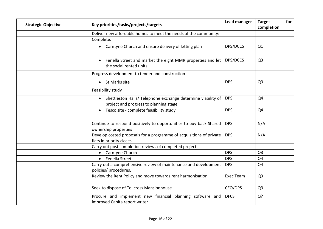| <b>Strategic Objective</b> | Key priorities/tasks/projects/targets                                                                               | <b>Lead manager</b> | <b>Target</b><br>completion | for |
|----------------------------|---------------------------------------------------------------------------------------------------------------------|---------------------|-----------------------------|-----|
|                            | Deliver new affordable homes to meet the needs of the community:                                                    |                     |                             |     |
|                            | Complete:                                                                                                           |                     |                             |     |
|                            | Carntyne Church and ensure delivery of letting plan<br>$\bullet$                                                    | DPS/DCCS            | Q1                          |     |
|                            | Fenella Street and market the eight MMR properties and let<br>$\bullet$<br>the social rented units                  | DPS/DCCS            | Q <sub>3</sub>              |     |
|                            | Progress development to tender and construction                                                                     |                     |                             |     |
|                            | St Marks site<br>$\bullet$                                                                                          | <b>DPS</b>          | Q <sub>3</sub>              |     |
|                            | Feasibility study                                                                                                   |                     |                             |     |
|                            | Shettleston Halls/ Telephone exchange determine viability of<br>$\bullet$<br>project and progress to planning stage | <b>DPS</b>          | Q4                          |     |
|                            | Tesco site - complete feasibility study<br>$\bullet$                                                                | <b>DPS</b>          | Q4                          |     |
|                            | Continue to respond positively to opportunities to buy-back Shared<br>ownership properties                          | <b>DPS</b>          | N/A                         |     |
|                            | Develop costed proposals for a programme of acquisitions of private<br>flats in priority closes.                    | <b>DPS</b>          | N/A                         |     |
|                            | Carry out post completion reviews of completed projects                                                             |                     |                             |     |
|                            | Carntyne Church<br>$\bullet$                                                                                        | <b>DPS</b>          | Q <sub>3</sub>              |     |
|                            | Fenella Street<br>$\bullet$                                                                                         | <b>DPS</b>          | Q4                          |     |
|                            | Carry out a comprehensive review of maintenance and development<br>policies/ procedures.                            | <b>DPS</b>          | Q <sub>4</sub>              |     |
|                            | Review the Rent Policy and move towards rent harmonisation                                                          | <b>Exec Team</b>    | Q <sub>3</sub>              |     |
|                            | Seek to dispose of Tollcross Mansionhouse                                                                           | CEO/DPS             | Q <sub>3</sub>              |     |
|                            | Procure and implement new financial planning software and<br>improved Capita report writer                          | <b>DFCS</b>         | Q?                          |     |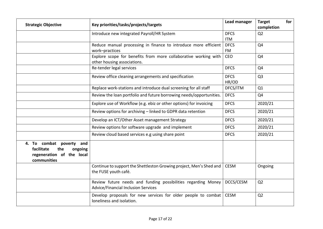| <b>Strategic Objective</b>                                                                              | Key priorities/tasks/projects/targets                                                                       | Lead manager | for<br><b>Target</b><br>completion |
|---------------------------------------------------------------------------------------------------------|-------------------------------------------------------------------------------------------------------------|--------------|------------------------------------|
|                                                                                                         | Introduce new integrated Payroll/HR System                                                                  | <b>DFCS</b>  | Q <sub>2</sub>                     |
|                                                                                                         |                                                                                                             | <b>ITM</b>   |                                    |
|                                                                                                         | Reduce manual processing in finance to introduce more efficient                                             | <b>DFCS</b>  | Q4                                 |
|                                                                                                         | work-practices                                                                                              | <b>FM</b>    |                                    |
|                                                                                                         | Explore scope for benefits from more collaborative working with                                             | <b>CEO</b>   | Q4                                 |
|                                                                                                         | other housing associations.                                                                                 |              |                                    |
|                                                                                                         | Re-tender legal services                                                                                    | <b>DFCS</b>  | Q4                                 |
|                                                                                                         | Review office cleaning arrangements and specification                                                       | <b>DFCS</b>  | Q <sub>3</sub>                     |
|                                                                                                         |                                                                                                             | HR/OD        |                                    |
|                                                                                                         | Replace work-stations and introduce dual screening for all staff                                            | DFCS/ITM     | Q1                                 |
|                                                                                                         | Review the loan portfolio and future borrowing needs/opportunities.                                         | <b>DFCS</b>  | Q4                                 |
|                                                                                                         | Explore use of Workflow (e.g. ebiz or other options) for invoicing                                          | <b>DFCS</b>  | 2020/21                            |
|                                                                                                         | Review options for archiving - linked to GDPR data retention                                                | <b>DFCS</b>  | 2020/21                            |
|                                                                                                         | Develop an ICT/Other Asset management Strategy                                                              | <b>DFCS</b>  | 2020/21                            |
|                                                                                                         | Review options for software upgrade and implement                                                           | <b>DFCS</b>  | 2020/21                            |
|                                                                                                         | Review cloud based services e.g using share point                                                           | <b>DFCS</b>  | 2020/21                            |
| 4. To combat poverty<br>and<br>facilitate<br>the<br>ongoing<br>regeneration of the local<br>communities |                                                                                                             |              |                                    |
|                                                                                                         | Continue to support the Shettleston Growing project, Men's Shed and<br>the FUSE youth café.                 | <b>CESM</b>  | Ongoing                            |
|                                                                                                         | Review future needs and funding possibilities regarding Money<br><b>Advice/Financial Inclusion Services</b> | DCCS/CESM    | Q <sub>2</sub>                     |
|                                                                                                         | Develop proposals for new services for older people to combat<br>loneliness and isolation.                  | <b>CESM</b>  | Q <sub>2</sub>                     |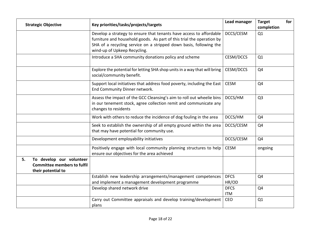|    | <b>Strategic Objective</b>                                                           | Key priorities/tasks/projects/targets                                                                                                                                                                                                              | Lead manager              | <b>Target</b><br>completion | for |
|----|--------------------------------------------------------------------------------------|----------------------------------------------------------------------------------------------------------------------------------------------------------------------------------------------------------------------------------------------------|---------------------------|-----------------------------|-----|
|    |                                                                                      | Develop a strategy to ensure that tenants have access to affordable<br>furniture and household goods. As part of this trial the operation by<br>SHA of a recycling service on a stripped down basis, following the<br>wind-up of Upkeep Recycling. | DCCS/CESM                 | Q1                          |     |
|    |                                                                                      | Introduce a SHA community donations policy and scheme                                                                                                                                                                                              | CESM/DCCS                 | Q1                          |     |
|    |                                                                                      | Explore the potential for letting SHA shop units in a way that will bring<br>social/community benefit.                                                                                                                                             | CESM/DCCS                 | Q <sub>4</sub>              |     |
|    |                                                                                      | Support local initiatives that address food poverty, including the East<br>End Community Dinner network.                                                                                                                                           | <b>CESM</b>               | Q <sub>4</sub>              |     |
|    |                                                                                      | Assess the impact of the GCC Cleansing's aim to roll out wheelie bins<br>in our tenement stock, agree collection remit and communicate any<br>changes to residents                                                                                 | DCCS/HM                   | Q <sub>3</sub>              |     |
|    |                                                                                      | Work with others to reduce the incidence of dog fouling in the area                                                                                                                                                                                | DCCS/HM                   | Q4                          |     |
|    |                                                                                      | Seek to establish the ownership of all empty ground within the area<br>that may have potential for community use.                                                                                                                                  | DCCS/CESM                 | Q <sub>4</sub>              |     |
|    |                                                                                      | Development employability initiatives                                                                                                                                                                                                              | DCCS/CESM                 | Q4                          |     |
|    |                                                                                      | Positively engage with local community planning structures to help<br>ensure our objectives for the area achieved                                                                                                                                  | <b>CESM</b>               | ongoing                     |     |
| 5. | To develop our volunteer<br><b>Committee members to fulfil</b><br>their potential to |                                                                                                                                                                                                                                                    |                           |                             |     |
|    |                                                                                      | Establish new leadership arrangements/management competences<br>and implement a management development programme                                                                                                                                   | <b>DFCS</b><br>HR/OD      | Q4                          |     |
|    |                                                                                      | Develop shared network drive                                                                                                                                                                                                                       | <b>DFCS</b><br><b>ITM</b> | Q4                          |     |
|    |                                                                                      | Carry out Committee appraisals and develop training/development<br>plans                                                                                                                                                                           | <b>CEO</b>                | Q1                          |     |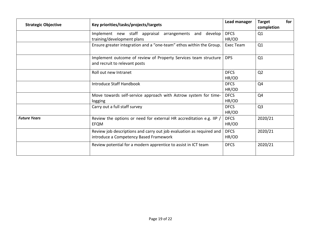| <b>Strategic Objective</b>                                                                         | Key priorities/tasks/projects/targets                                                                                                                  | Lead manager         | for<br><b>Target</b><br>completion |  |  |
|----------------------------------------------------------------------------------------------------|--------------------------------------------------------------------------------------------------------------------------------------------------------|----------------------|------------------------------------|--|--|
|                                                                                                    | Implement new staff appraisal<br>arrangements<br>and<br>develop<br>training/development plans                                                          | <b>DFCS</b><br>HR/OD | Q1                                 |  |  |
|                                                                                                    | Ensure greater integration and a "one-team" ethos within the Group.                                                                                    | Exec Team            | Q1                                 |  |  |
|                                                                                                    | <b>DPS</b><br>Implement outcome of review of Property Services team structure<br>and recruit to relevant posts                                         |                      |                                    |  |  |
|                                                                                                    | <b>DFCS</b><br>Roll out new Intranet<br>HR/OD                                                                                                          |                      |                                    |  |  |
|                                                                                                    | <b>DFCS</b><br>Introduce Staff Handbook<br>HR/OD<br>Move towards self-service approach with Astrow system for time-<br><b>DFCS</b><br>HR/OD<br>logging |                      | Q4                                 |  |  |
|                                                                                                    |                                                                                                                                                        |                      | Q4                                 |  |  |
|                                                                                                    | Carry out a full staff survey                                                                                                                          | <b>DFCS</b><br>HR/OD | Q <sub>3</sub>                     |  |  |
| <b>Future Years</b><br>Review the options or need for external HR accreditation e.g. IIP /<br>EFQM |                                                                                                                                                        | <b>DFCS</b><br>HR/OD | 2020/21                            |  |  |
|                                                                                                    | <b>DFCS</b><br>Review job descriptions and carry out job evaluation as required and<br>introduce a Competency Based Framework<br>HR/OD                 |                      | 2020/21                            |  |  |
|                                                                                                    | Review potential for a modern apprentice to assist in ICT team                                                                                         | <b>DFCS</b>          | 2020/21                            |  |  |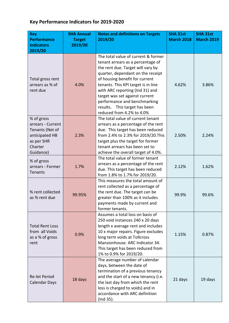#### **Key Performance Indicators for 2019-2020**

| <b>Key</b>             | <b>SHA Annual</b> | <b>Notes and definitions on Targets</b> | <b>SHA 31st</b>   | <b>SHA 31st</b>   |
|------------------------|-------------------|-----------------------------------------|-------------------|-------------------|
| <b>Performance</b>     | <b>Target</b>     | 2019/20                                 | <b>March 2018</b> | <b>March 2019</b> |
| <b>Indicators</b>      | 2019/20           |                                         |                   |                   |
| 2019/20                |                   |                                         |                   |                   |
|                        |                   | The total value of current & former     |                   |                   |
|                        |                   | tenant arrears as a percentage of       |                   |                   |
|                        |                   | the rent due. Target will vary by       |                   |                   |
|                        |                   | quarter, dependant on the receipt       |                   |                   |
| Total gross rent       |                   | of housing benefit for current          |                   |                   |
| arrears as % of        | 4.0%              | tenants. This KPI target is in line     | 4.62%             | 3.86%             |
| rent due               |                   | with ARC reporting (Ind 31) and         |                   |                   |
|                        |                   | target was set against current          |                   |                   |
|                        |                   | performance and benchmarking            |                   |                   |
|                        |                   | results. This target has been           |                   |                   |
|                        |                   | reduced from 4.2% to 4.0%               |                   |                   |
| % of gross             |                   | The total value of current tenant       |                   |                   |
| arrears - Current      |                   | arrears as a percentage of the rent     |                   |                   |
| Tenants (Net of        |                   | due. This target has been reduced       |                   |                   |
| anticipated HB         | 2.3%              | from 2.4% to 2.3% for 2019/20. This     | 2.50%             | 2.24%             |
| as per SHR             |                   | target plus the target for former       |                   |                   |
| Charter                |                   | tenant arrears has been set to          |                   |                   |
| Guidance)              |                   | achieve the overall target of 4.0%.     |                   |                   |
|                        |                   | The total value of former tenant        |                   |                   |
| % of gross             |                   | arrears as a percentage of the rent     |                   |                   |
| arrears - Former       | 1.7%              | due. This target has been reduced       | 2.12%             | 1.62%             |
| Tenants                |                   | from 1.8% to 1.7% for 2019/20.          |                   |                   |
|                        |                   | This measures the total amount of       |                   |                   |
|                        |                   | rent collected as a percentage of       |                   |                   |
| % rent collected       |                   | the rent due. The target can be         |                   | 99.6%             |
| as % rent due          | 99.95%            | greater than 100% as it includes        | 99.9%             |                   |
|                        |                   | payments made by current and            |                   |                   |
|                        |                   | former tenants.                         |                   |                   |
|                        |                   | Assumes a total loss on basis of        |                   |                   |
|                        |                   | 250 void instances 240 x 20 days        |                   |                   |
| <b>Total Rent Loss</b> |                   | length x average rent and includes      |                   |                   |
| from all Voids         | 0.9%              | 10 x major repairs. Figure excludes     | 1.15%             | 0.87%             |
| as a % of gross        |                   | long term voids at Tollcross            |                   |                   |
| rent                   |                   | Mansionhouse. ARC Indicator 34.         |                   |                   |
|                        |                   | This target has been reduced from       |                   |                   |
|                        |                   | 1% to 0.9% for 2019/20.                 |                   |                   |
|                        |                   | The average number of calendar          |                   |                   |
|                        |                   | days, between the date of               |                   |                   |
|                        |                   | termination of a previous tenancy       |                   |                   |
| Re-let Period          | 18 days           | and the start of a new tenancy (i.e.    | 21 days           | 19 days           |
| <b>Calendar Days</b>   |                   | the last day from which the rent        |                   |                   |
|                        |                   | loss is charged to voids) and in        |                   |                   |
|                        |                   | accordance with ARC definition          |                   |                   |
|                        |                   | (Ind 35).                               |                   |                   |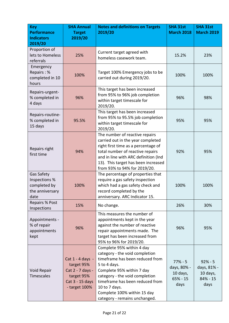| <b>Key</b><br><b>Performance</b><br><b>Indicators</b>                  | <b>SHA Annual</b><br><b>Target</b><br>2019/20                                                        | <b>Notes and definitions on Targets</b><br>2019/20                                                                                                                                                                                                                                                | <b>SHA 31st</b><br><b>March 2018</b>                       | <b>SHA 31st</b><br><b>March 2019</b>                        |
|------------------------------------------------------------------------|------------------------------------------------------------------------------------------------------|---------------------------------------------------------------------------------------------------------------------------------------------------------------------------------------------------------------------------------------------------------------------------------------------------|------------------------------------------------------------|-------------------------------------------------------------|
| 2019/20<br>Proportion of<br>lets to Homeless<br>referrals              | 25%                                                                                                  | Current target agreed with<br>homeless casework team.                                                                                                                                                                                                                                             | 15.2%                                                      | 23%                                                         |
| Emergency<br>Repairs: %<br>completed in 10<br>hours                    | 100%                                                                                                 | Target 100% Emergency jobs to be<br>carried out during 2019/20.                                                                                                                                                                                                                                   | 100%                                                       | 100%                                                        |
| Repairs-urgent-<br>% completed in<br>4 days                            | 96%                                                                                                  | This target has been increased<br>from 95% to 96% job completion<br>within target timescale for<br>2019/20.                                                                                                                                                                                       | 96%                                                        | 98%                                                         |
| Repairs-routine-<br>% completed in<br>15 days                          | 95.5%                                                                                                | This target has been increased<br>from 95% to 95.5% job completion<br>within target timescale for<br>2019/20.                                                                                                                                                                                     | 95%                                                        | 95%                                                         |
| Repairs right<br>first time                                            | 94%                                                                                                  | The number of reactive repairs<br>carried out in the year completed<br>right first time as a percentage of<br>total number of reactive repairs<br>and in line with ARC definition (Ind<br>13). This target has been increased<br>from 93% to 94% for 2019/20.                                     | 92%                                                        | 95%                                                         |
| Gas Safety<br>Inspections %<br>completed by<br>the anniversary<br>date | 100%                                                                                                 | The percentage of properties that<br>require a gas safety inspection<br>which had a gas safety check and<br>record completed by the<br>anniversary. ARC Indicator 15.                                                                                                                             | 100%                                                       | 100%                                                        |
| <b>Repairs % Post</b><br>Inspections                                   | 15%                                                                                                  | No change.                                                                                                                                                                                                                                                                                        | 26%                                                        | 30%                                                         |
| Appointments -<br>% of repair<br>appointments<br>kept                  | 96%                                                                                                  | This measures the number of<br>appointments kept in the year<br>against the number of reactive<br>repair appointments made. The<br>target has been increased from<br>95% to 96% for 2019/20.                                                                                                      | 96%                                                        | 95%                                                         |
| Void Repair<br>Timescales                                              | Cat 1 - 4 days -<br>target 95%<br>Cat 2 - 7 days -<br>target 95%<br>Cat 3 - 15 days<br>- target 100% | Complete 95% within 4 day<br>category - the void completion<br>timeframe has been reduced from<br>5 to 4 days.<br>Complete 95% within 7 day<br>category - the void completion<br>timeframe has been reduced from<br>10 to 7 days.<br>Complete 100% within 15 day<br>category - remains unchanged. | $77% - 5$<br>days, 80% -<br>10 days,<br>$65% - 15$<br>days | $92% - 5$<br>days, 81% -<br>10 days,<br>$84\% - 15$<br>days |